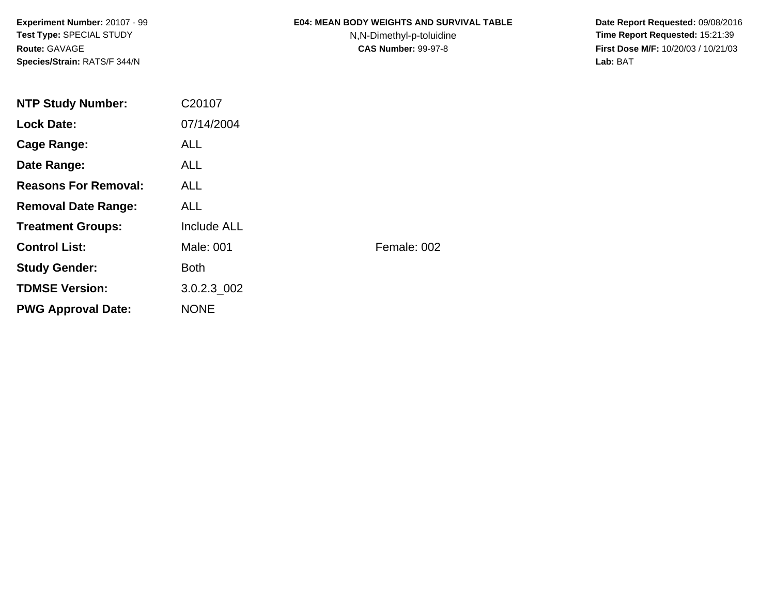**Experiment Number:** 20107 - 99**Test Type:** SPECIAL STUDY**Route:** GAVAGE**Species/Strain:** RATS/F 344/N

### **E04: MEAN BODY WEIGHTS AND SURVIVAL TABLE**

N,N-Dimethyl-p-toluidine

 **Date Report Requested:** 09/08/2016 **Time Report Requested:** 15:21:39 **First Dose M/F:** 10/20/03 / 10/21/03<br>**Lab:** BAT **Lab:** BAT

| <b>NTP Study Number:</b>    | C20107             |             |
|-----------------------------|--------------------|-------------|
| <b>Lock Date:</b>           | 07/14/2004         |             |
| Cage Range:                 | <b>ALL</b>         |             |
| Date Range:                 | ALL.               |             |
| <b>Reasons For Removal:</b> | <b>ALL</b>         |             |
| <b>Removal Date Range:</b>  | <b>ALL</b>         |             |
| <b>Treatment Groups:</b>    | <b>Include ALL</b> |             |
| <b>Control List:</b>        | Male: 001          | Female: 002 |
| <b>Study Gender:</b>        | <b>Both</b>        |             |
| <b>TDMSE Version:</b>       | 3.0.2.3 002        |             |
| <b>PWG Approval Date:</b>   | <b>NONE</b>        |             |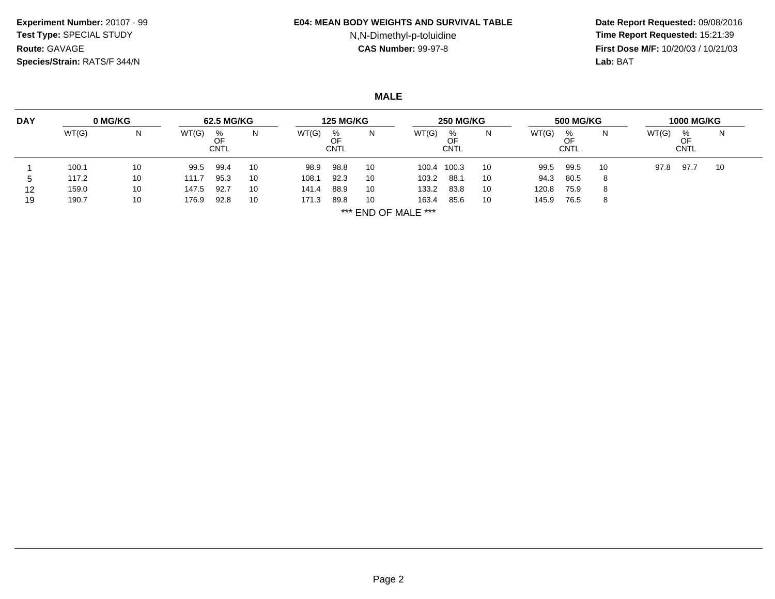### **Experiment Number:** 20107 - 99**Test Type:** SPECIAL STUDY**Route:** GAVAGE**Species/Strain:** RATS/F 344/N

### **E04: MEAN BODY WEIGHTS AND SURVIVAL TABLE**

# N,N-Dimethyl-p-toluidine

 **Date Report Requested:** 09/08/2016 **Time Report Requested:** 15:21:39 **First Dose M/F:** 10/20/03 / 10/21/03<br>**Lab:** BAT **Lab:** BAT

**MALE**

| <b>DAY</b> | 0 MG/KG | 62.5 MG/KG |       |                        | <b>125 MG/KG</b> |       |                        | <b>250 MG/KG</b> |                     |                  | <b>500 MG/KG</b> |       |                  | <b>1000 MG/KG</b> |       |                 |    |
|------------|---------|------------|-------|------------------------|------------------|-------|------------------------|------------------|---------------------|------------------|------------------|-------|------------------|-------------------|-------|-----------------|----|
|            | WT(G)   | N          | WT(G) | %<br>OF<br><b>CNTL</b> | N                | WT(G) | %<br>OF<br><b>CNTL</b> | N                | WT(G)               | %<br><b>CNTL</b> | N                | WT(G) | ℅<br><b>CNTL</b> | N                 | WT(G) | %<br>OF<br>CNTL | N  |
|            | 100.1   | 10         | 99.5  | 99.4                   | 10               | 98.9  | 98.8                   | 10               | 100.4               | 100.3            | 10               | 99.5  | 99.5             | 10                | 97.8  | 97.7            | 10 |
| đ          | 117.2   | 10         | 111.7 | 95.3                   | 10               | 108.1 | 92.3                   | 10               | 103.2               | 88.1             | 10               | 94.3  | 80.5             | 8                 |       |                 |    |
| 12         | 159.0   | 10         | 147.5 | 92.7                   | 10               | 141.4 | 88.9                   | 10               | 133.2               | 83.8             | 10               | 120.8 | 75.9             | 8                 |       |                 |    |
| 19         | 190.7   | 10         | 176.9 | 92.8                   | 10               | 171.3 | 89.8                   | 10               | 163.4               | 85.6             | 10               | 145.9 | 76.5             | 8                 |       |                 |    |
|            |         |            |       |                        |                  |       |                        |                  | *** END OF MALE *** |                  |                  |       |                  |                   |       |                 |    |